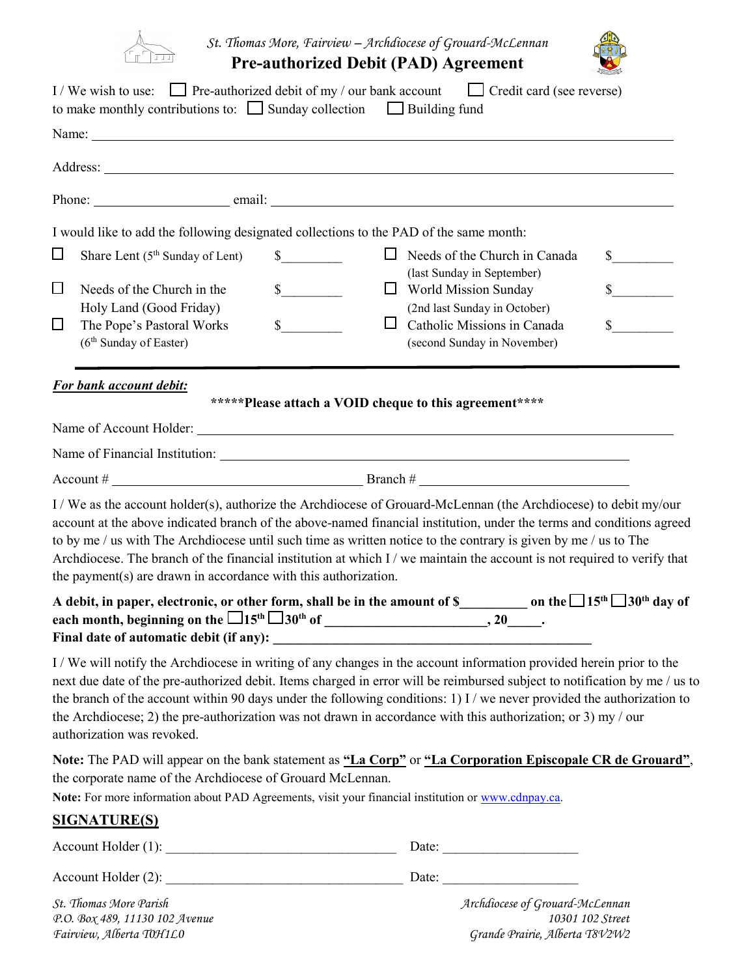

*St. Thomas More, Fairview – Archdiocese of Grouard-McLennan*

**Pre-authorized Debit (PAD) Agreement** 



|                       |                                                                                                                                   | I / We wish to use: $\Box$ Pre-authorized debit of my / our bank account $\Box$ Credit card (see reverse)<br>to make monthly contributions to: $\Box$ Sunday collection $\Box$ Building fund                                                                                                                                                                                                                                                                                                |
|-----------------------|-----------------------------------------------------------------------------------------------------------------------------------|---------------------------------------------------------------------------------------------------------------------------------------------------------------------------------------------------------------------------------------------------------------------------------------------------------------------------------------------------------------------------------------------------------------------------------------------------------------------------------------------|
|                       |                                                                                                                                   |                                                                                                                                                                                                                                                                                                                                                                                                                                                                                             |
|                       |                                                                                                                                   |                                                                                                                                                                                                                                                                                                                                                                                                                                                                                             |
|                       |                                                                                                                                   |                                                                                                                                                                                                                                                                                                                                                                                                                                                                                             |
| $\Box$<br>$\Box$<br>□ | Share Lent (5 <sup>th</sup> Sunday of Lent)<br>Needs of the Church in the<br>Holy Land (Good Friday)<br>The Pope's Pastoral Works | I would like to add the following designated collections to the PAD of the same month:<br>$\sim$<br>$\Box$ Needs of the Church in Canada<br>$\frac{\text{S}}{\text{S}}$<br>(last Sunday in September)<br>$\mathbb{S}$<br>$\frac{\sqrt{2}}{2}$<br>$\Box$ World Mission Sunday<br>(2nd last Sunday in October)<br>$s$ <sub>____</sub><br>$\mathbb{S}$<br>$\Box$<br>Catholic Missions in Canada                                                                                                |
|                       | (6 <sup>th</sup> Sunday of Easter)<br>For bank account debit:                                                                     | (second Sunday in November)<br>*****Please attach a VOID cheque to this agreement****                                                                                                                                                                                                                                                                                                                                                                                                       |
|                       |                                                                                                                                   |                                                                                                                                                                                                                                                                                                                                                                                                                                                                                             |
|                       |                                                                                                                                   |                                                                                                                                                                                                                                                                                                                                                                                                                                                                                             |
|                       | the payment( $s$ ) are drawn in accordance with this authorization.                                                               | I / We as the account holder(s), authorize the Archdiocese of Grouard-McLennan (the Archdiocese) to debit my/our<br>account at the above indicated branch of the above-named financial institution, under the terms and conditions agreed<br>to by me / us with The Archdiocese until such time as written notice to the contrary is given by me / us to The<br>Archdiocese. The branch of the financial institution at which I / we maintain the account is not required to verify that    |
|                       |                                                                                                                                   | A debit, in paper, electronic, or other form, shall be in the amount of $\frac{1}{2}$ on the $\frac{1}{5}$ 15 <sup>th</sup> $\frac{1}{30}$ <sup>th</sup> day of                                                                                                                                                                                                                                                                                                                             |
|                       | authorization was revoked.                                                                                                        | I/We will notify the Archdiocese in writing of any changes in the account information provided herein prior to the<br>next due date of the pre-authorized debit. Items charged in error will be reimbursed subject to notification by me / us to<br>the branch of the account within 90 days under the following conditions: 1) I / we never provided the authorization to<br>the Archdiocese; 2) the pre-authorization was not drawn in accordance with this authorization; or 3) my / our |
|                       | the corporate name of the Archdiocese of Grouard McLennan.                                                                        | Note: The PAD will appear on the bank statement as "La Corp" or "La Corporation Episcopale CR de Grouard",<br>Note: For more information about PAD Agreements, visit your financial institution or www.cdnpay.ca.                                                                                                                                                                                                                                                                           |
|                       | <b>SIGNATURE(S)</b>                                                                                                               |                                                                                                                                                                                                                                                                                                                                                                                                                                                                                             |
|                       |                                                                                                                                   |                                                                                                                                                                                                                                                                                                                                                                                                                                                                                             |
|                       |                                                                                                                                   |                                                                                                                                                                                                                                                                                                                                                                                                                                                                                             |
|                       | St. Thomas More Parish                                                                                                            | Archdiocese of Grouard-McLennan                                                                                                                                                                                                                                                                                                                                                                                                                                                             |

*P.O. Box 489, 11130 102 Avenue 10301 102 Street Fairview, Alberta T0H1L0 Grande Prairie, Alberta T8V2W2*